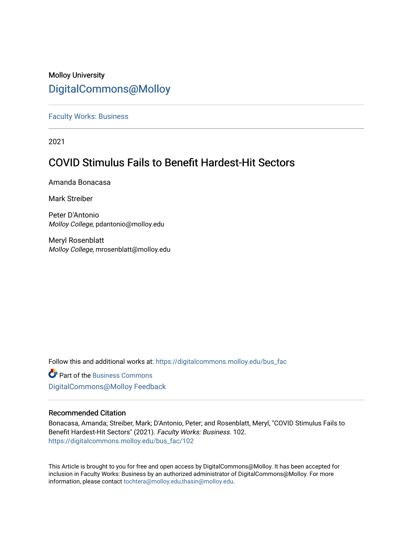## Molloy University [DigitalCommons@Molloy](https://digitalcommons.molloy.edu/)

[Faculty Works: Business](https://digitalcommons.molloy.edu/bus_fac) 

2021

## **COVID Stimulus Fails to Benefit Hardest-Hit Sectors**

Amanda Bonacasa

Mark Streiber

Peter D'Antonio Molloy College, pdantonio@molloy.edu

Meryl Rosenblatt Molloy College, mrosenblatt@molloy.edu

Follow this and additional works at: [https://digitalcommons.molloy.edu/bus\\_fac](https://digitalcommons.molloy.edu/bus_fac?utm_source=digitalcommons.molloy.edu%2Fbus_fac%2F102&utm_medium=PDF&utm_campaign=PDFCoverPages)

**C** Part of the [Business Commons](https://network.bepress.com/hgg/discipline/622?utm_source=digitalcommons.molloy.edu%2Fbus_fac%2F102&utm_medium=PDF&utm_campaign=PDFCoverPages) [DigitalCommons@Molloy Feedback](https://molloy.libwizard.com/f/dcfeedback)

### Recommended Citation

Bonacasa, Amanda; Streiber, Mark; D'Antonio, Peter; and Rosenblatt, Meryl, "COVID Stimulus Fails to Benefit Hardest-Hit Sectors" (2021). Faculty Works: Business. 102. [https://digitalcommons.molloy.edu/bus\\_fac/102](https://digitalcommons.molloy.edu/bus_fac/102?utm_source=digitalcommons.molloy.edu%2Fbus_fac%2F102&utm_medium=PDF&utm_campaign=PDFCoverPages)

This Article is brought to you for free and open access by DigitalCommons@Molloy. It has been accepted for inclusion in Faculty Works: Business by an authorized administrator of DigitalCommons@Molloy. For more information, please contact [tochtera@molloy.edu,thasin@molloy.edu.](mailto:tochtera@molloy.edu,thasin@molloy.edu)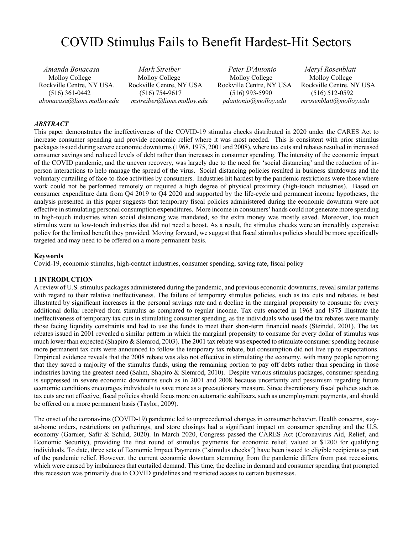# COVID Stimulus Fails to Benefit Hardest-Hit Sectors

*Amanda Bonacasa Mark Streiber Peter D'Antonio Meryl Rosenblatt* Rockville Centre, NY USA. Rockville Centre, NY USA Rockville Centre, NY USA Rockville Centre, NY USA *abonacasa@lions.molloy.edu mstreiber@lions.molloy.edu pdantonio@molloy.edu mrosenblatt@molloy.edu*

Molloy College Molloy College Molloy College Molloy College Molloy College Molloy College (516) 361-0442 (516) 754-9617 (516) 993-5990 (516) 512-0592

#### *ABSTRACT*

This paper demonstrates the ineffectiveness of the COVID-19 stimulus checks distributed in 2020 under the CARES Act to increase consumer spending and provide economic relief where it was most needed. This is consistent with prior stimulus packages issued during severe economic downturns (1968, 1975, 2001 and 2008), where tax cuts and rebates resulted in increased consumer savings and reduced levels of debt rather than increases in consumer spending. The intensity of the economic impact of the COVID pandemic, and the uneven recovery, was largely due to the need for 'social distancing' and the reduction of inperson interactions to help manage the spread of the virus. Social distancing policies resulted in business shutdowns and the voluntary curtailing of face-to-face activities by consumers. Industries hit hardest by the pandemic restrictions were those where work could not be performed remotely or required a high degree of physical proximity (high-touch industries). Based on consumer expenditure data from Q4 2019 to Q4 2020 and supported by the life-cycle and permanent income hypotheses, the analysis presented in this paper suggests that temporary fiscal policies administered during the economic downturn were not effective in stimulating personal consumption expenditures. More income in consumers' hands could not generate more spending in high-touch industries when social distancing was mandated, so the extra money was mostly saved. Moreover, too much stimulus went to low-touch industries that did not need a boost. As a result, the stimulus checks were an incredibly expensive policy for the limited benefit they provided. Moving forward, we suggest that fiscal stimulus policies should be more specifically targeted and may need to be offered on a more permanent basis.

#### **Keywords**

Covid-19, economic stimulus, high-contact industries, consumer spending, saving rate, fiscal policy

#### **1 INTRODUCTION**

A review of U.S. stimulus packages administered during the pandemic, and previous economic downturns, reveal similar patterns with regard to their relative ineffectiveness. The failure of temporary stimulus policies, such as tax cuts and rebates, is best illustrated by significant increases in the personal savings rate and a decline in the marginal propensity to consume for every additional dollar received from stimulus as compared to regular income. Tax cuts enacted in 1968 and 1975 illustrate the ineffectiveness of temporary tax cuts in stimulating consumer spending, as the individuals who used the tax rebates were mainly those facing liquidity constraints and had to use the funds to meet their short-term financial needs (Steindel, 2001). The tax rebates issued in 2001 revealed a similar pattern in which the marginal propensity to consume for every dollar of stimulus was much lower than expected (Shapiro & Slemrod, 2003). The 2001 tax rebate was expected to stimulate consumer spending because more permanent tax cuts were announced to follow the temporary tax rebate, but consumption did not live up to expectations. Empirical evidence reveals that the 2008 rebate was also not effective in stimulating the economy, with many people reporting that they saved a majority of the stimulus funds, using the remaining portion to pay off debts rather than spending in those industries having the greatest need (Sahm, Shapiro & Slemrod, 2010). Despite various stimulus packages, consumer spending is suppressed in severe economic downturns such as in 2001 and 2008 because uncertainty and pessimism regarding future economic conditions encourages individuals to save more as a precautionary measure. Since discretionary fiscal policies such as tax cuts are not effective, fiscal policies should focus more on automatic stabilizers, such as unemployment payments, and should be offered on a more permanent basis (Taylor, 2009).

The onset of the coronavirus (COVID-19) pandemic led to unprecedented changes in consumer behavior. Health concerns, stayat-home orders, restrictions on gatherings, and store closings had a significant impact on consumer spending and the U.S. economy (Garnier, Safir & Schild, 2020). In March 2020, Congress passed the CARES Act (Coronavirus Aid, Relief, and Economic Security), providing the first round of stimulus payments for economic relief, valued at \$1200 for qualifying individuals. To date, three sets of Economic Impact Payments ("stimulus checks") have been issued to eligible recipients as part of the pandemic relief. However, the current economic downturn stemming from the pandemic differs from past recessions, which were caused by imbalances that curtailed demand. This time, the decline in demand and consumer spending that prompted this recession was primarily due to COVID guidelines and restricted access to certain businesses.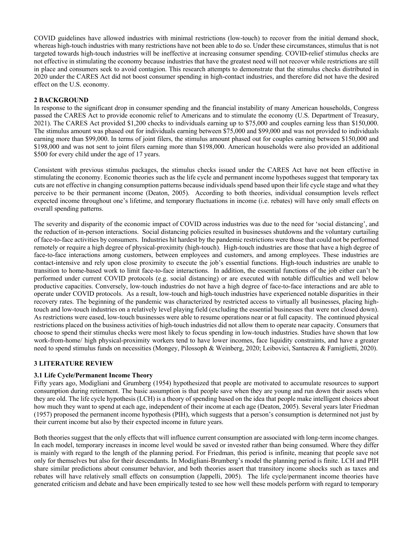COVID guidelines have allowed industries with minimal restrictions (low-touch) to recover from the initial demand shock, whereas high-touch industries with many restrictions have not been able to do so. Under these circumstances, stimulus that is not targeted towards high-touch industries will be ineffective at increasing consumer spending. COVID-relief stimulus checks are not effective in stimulating the economy because industries that have the greatest need will not recover while restrictions are still in place and consumers seek to avoid contagion. This research attempts to demonstrate that the stimulus checks distributed in 2020 under the CARES Act did not boost consumer spending in high-contact industries, and therefore did not have the desired effect on the U.S. economy.

#### **2 BACKGROUND**

In response to the significant drop in consumer spending and the financial instability of many American households, Congress passed the CARES Act to provide economic relief to Americans and to stimulate the economy (U.S. Department of Treasury, 2021). The CARES Act provided \$1,200 checks to individuals earning up to \$75,000 and couples earning less than \$150,000. The stimulus amount was phased out for individuals earning between \$75,000 and \$99,000 and was not provided to individuals earning more than \$99,000. In terms of joint filers, the stimulus amount phased out for couples earning between \$150,000 and \$198,000 and was not sent to joint filers earning more than \$198,000. American households were also provided an additional \$500 for every child under the age of 17 years.

Consistent with previous stimulus packages, the stimulus checks issued under the CARES Act have not been effective in stimulating the economy. Economic theories such as the life cycle and permanent income hypotheses suggest that temporary tax cuts are not effective in changing consumption patterns because individuals spend based upon their life cycle stage and what they perceive to be their permanent income (Deaton, 2005). According to both theories, individual consumption levels reflect expected income throughout one's lifetime, and temporary fluctuations in income (i.e. rebates) will have only small effects on overall spending patterns.

The severity and disparity of the economic impact of COVID across industries was due to the need for 'social distancing', and the reduction of in-person interactions. Social distancing policies resulted in businesses shutdowns and the voluntary curtailing of face-to-face activities by consumers. Industries hit hardest by the pandemic restrictions were those that could not be performed remotely or require a high degree of physical-proximity (high-touch). High-touch industries are those that have a high degree of face-to-face interactions among customers, between employees and customers, and among employees. These industries are contact-intensive and rely upon close proximity to execute the job's essential functions. High-touch industries are unable to transition to home-based work to limit face-to-face interactions. In addition, the essential functions of the job either can't be performed under current COVID protocols (e.g. social distancing) or are executed with notable difficulties and well below productive capacities. Conversely, low-touch industries do not have a high degree of face-to-face interactions and are able to operate under COVID protocols. As a result, low-touch and high-touch industries have experienced notable disparities in their recovery rates. The beginning of the pandemic was characterized by restricted access to virtually all businesses, placing hightouch and low-touch industries on a relatively level playing field (excluding the essential businesses that were not closed down). As restrictions were eased, low-touch businesses were able to resume operations near or at full capacity. The continued physical restrictions placed on the business activities of high-touch industries did not allow them to operate near capacity. Consumers that choose to spend their stimulus checks were most likely to focus spending in low-touch industries. Studies have shown that low work-from-home/ high physical-proximity workers tend to have lower incomes, face liquidity constraints, and have a greater need to spend stimulus funds on necessities (Mongey, Pilossoph & Weinberg, 2020; Leibovici, Santacreu & Famiglietti, 2020).

#### **3 LITERATURE REVIEW**

#### **3.1 Life Cycle/Permanent Income Theory**

Fifty years ago, Modigliani and Grumberg (1954) hypothesized that people are motivated to accumulate resources to support consumption during retirement. The basic assumption is that people save when they are young and run down their assets when they are old. The life cycle hypothesis (LCH) is a theory of spending based on the idea that people make intelligent choices about how much they want to spend at each age, independent of their income at each age (Deaton, 2005). Several years later Friedman (1957) proposed the permanent income hypothesis (PIH), which suggests that a person's consumption is determined not just by their current income but also by their expected income in future years.

Both theories suggest that the only effects that will influence current consumption are associated with long-term income changes. In each model, temporary increases in income level would be saved or invested rather than being consumed. Where they differ is mainly with regard to the length of the planning period. For Friedman, this period is infinite, meaning that people save not only for themselves but also for their descendants. In Modigliani-Brumberg's model the planning period is finite. LCH and PIH share similar predictions about consumer behavior, and both theories assert that transitory income shocks such as taxes and rebates will have relatively small effects on consumption (Jappelli, 2005). The life cycle/permanent income theories have generated criticism and debate and have been empirically tested to see how well these models perform with regard to temporary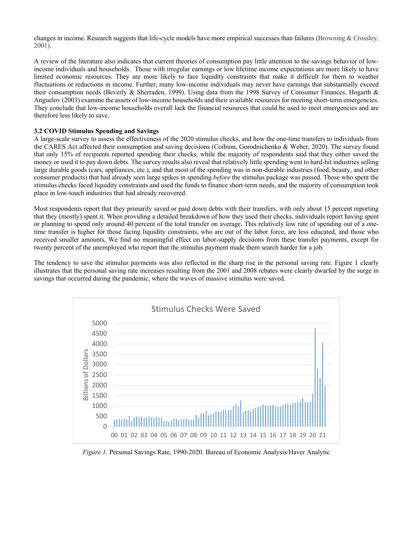changes in income. Research suggests that life-cycle models have more empirical successes than failures (Browning & Crossley, 2001).

A review of the literature also indicates that current theories of consumption pay little attention to the savings behavior of lowincome individuals and households. Those with irregular earnings or low lifetime income expectations are more likely to have limited economic resources. They are more likely to face liquidity constraints that make it difficult for them to weather fluctuations or reductions in income. Further, many low-income individuals may never have earnings that substantially exceed their consumption needs (Beverly & Sherraden, 1999). Using data from the 1998 Survey of Consumer Finances, Hogarth & Anguelov (2003) examine the assets of low-income households and their available resources for meeting short-term emergencies. They conclude that low-income households overall lack the financial resources that could be used to meet emergencies and are therefore less likely to save.

#### **3.2 COVID Stimulus Spending and Savings**

A large-scale survey to assess the effectiveness of the 2020 stimulus checks, and how the one-time transfers to individuals from the CARES Act affected their consumption and saving decisions (Coibion, Gorodnichenko & Weber, 2020). The survey found that only 15% of recipients reported spending their checks, while the majority of respondents said that they either saved the money or used it to pay down debts. The survey results also reveal that relatively little spending went to hard-hit industries selling large durable goods (cars, appliances, etc.), and that most of the spending was in non-durable industries (food, beauty, and other consumer products) that had already seen large spikes in spending *before* the stimulus package was passed. Those who spent the stimulus checks faced liquidity constraints and used the funds to finance short-term needs, and the majority of consumption took place in low-touch industries that had already recovered.

Most respondents report that they primarily saved or paid down debts with their transfers, with only about 15 percent reporting that they (mostly) spent it. When providing a detailed breakdown of how they used their checks, individuals report having spent or planning to spend only around 40 percent of the total transfer on average. This relatively low rate of spending out of a onetime transfer is higher for those facing liquidity constraints, who are out of the labor force, are less educated, and those who received smaller amounts. We find no meaningful effect on labor-supply decisions from these transfer payments, except for twenty percent of the unemployed who report that the stimulus payment made them search harder for a job.

The tendency to save the stimulus payments was also reflected in the sharp rise in the personal saving rate. Figure 1 clearly illustrates that the personal saving rate increases resulting from the 2001 and 2008 rebates were clearly dwarfed by the surge in savings that occurred during the pandemic, where the waves of massive stimulus were saved.



*Figure 1.* Personal Savings Rate, 1990-2020. Bureau of Economic Analysis/Haver Analytic